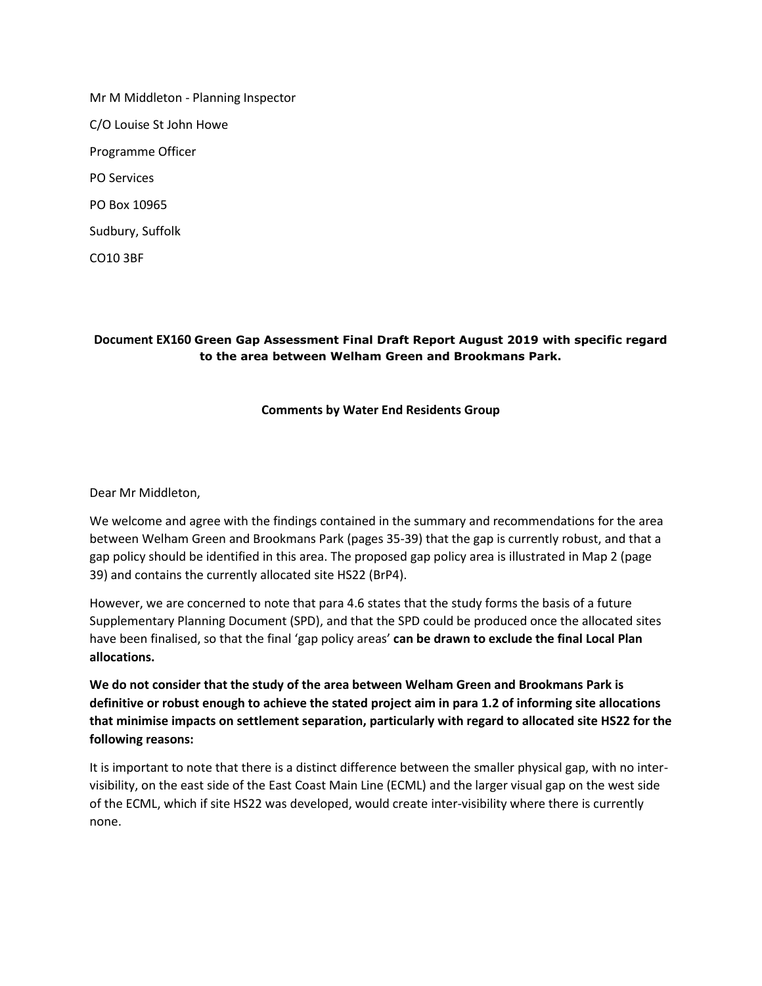Mr M Middleton - Planning Inspector C/O Louise St John Howe Programme Officer PO Services PO Box 10965 Sudbury, Suffolk

CO10 3BF

### **Document EX160 Green Gap Assessment Final Draft Report August 2019 with specific regard to the area between Welham Green and Brookmans Park.**

#### **Comments by Water End Residents Group**

Dear Mr Middleton,

We welcome and agree with the findings contained in the summary and recommendations for the area between Welham Green and Brookmans Park (pages 35-39) that the gap is currently robust, and that a gap policy should be identified in this area. The proposed gap policy area is illustrated in Map 2 (page 39) and contains the currently allocated site HS22 (BrP4).

However, we are concerned to note that para 4.6 states that the study forms the basis of a future Supplementary Planning Document (SPD), and that the SPD could be produced once the allocated sites have been finalised, so that the final 'gap policy areas' **can be drawn to exclude the final Local Plan allocations.** 

**We do not consider that the study of the area between Welham Green and Brookmans Park is definitive or robust enough to achieve the stated project aim in para 1.2 of informing site allocations that minimise impacts on settlement separation, particularly with regard to allocated site HS22 for the following reasons:**

It is important to note that there is a distinct difference between the smaller physical gap, with no intervisibility, on the east side of the East Coast Main Line (ECML) and the larger visual gap on the west side of the ECML, which if site HS22 was developed, would create inter-visibility where there is currently none.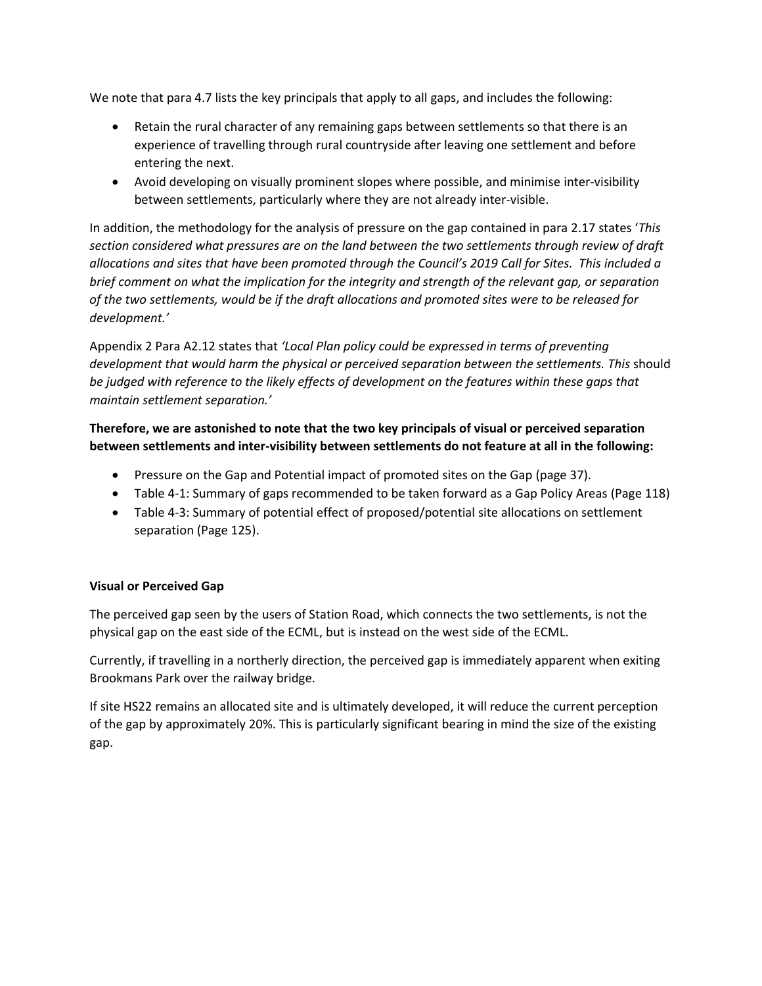We note that para 4.7 lists the key principals that apply to all gaps, and includes the following:

- Retain the rural character of any remaining gaps between settlements so that there is an experience of travelling through rural countryside after leaving one settlement and before entering the next.
- Avoid developing on visually prominent slopes where possible, and minimise inter-visibility between settlements, particularly where they are not already inter-visible.

In addition, the methodology for the analysis of pressure on the gap contained in para 2.17 states '*This section considered what pressures are on the land between the two settlements through review of draft allocations and sites that have been promoted through the Council's 2019 Call for Sites. This included a brief comment on what the implication for the integrity and strength of the relevant gap, or separation of the two settlements, would be if the draft allocations and promoted sites were to be released for development.'*

Appendix 2 Para A2.12 states that *'Local Plan policy could be expressed in terms of preventing development that would harm the physical or perceived separation between the settlements. This* should *be judged with reference to the likely effects of development on the features within these gaps that maintain settlement separation.'* 

# **Therefore, we are astonished to note that the two key principals of visual or perceived separation between settlements and inter-visibility between settlements do not feature at all in the following:**

- Pressure on the Gap and Potential impact of promoted sites on the Gap (page 37).
- Table 4-1: Summary of gaps recommended to be taken forward as a Gap Policy Areas (Page 118)
- Table 4-3: Summary of potential effect of proposed/potential site allocations on settlement separation (Page 125).

## **Visual or Perceived Gap**

The perceived gap seen by the users of Station Road, which connects the two settlements, is not the physical gap on the east side of the ECML, but is instead on the west side of the ECML.

Currently, if travelling in a northerly direction, the perceived gap is immediately apparent when exiting Brookmans Park over the railway bridge.

If site HS22 remains an allocated site and is ultimately developed, it will reduce the current perception of the gap by approximately 20%. This is particularly significant bearing in mind the size of the existing gap.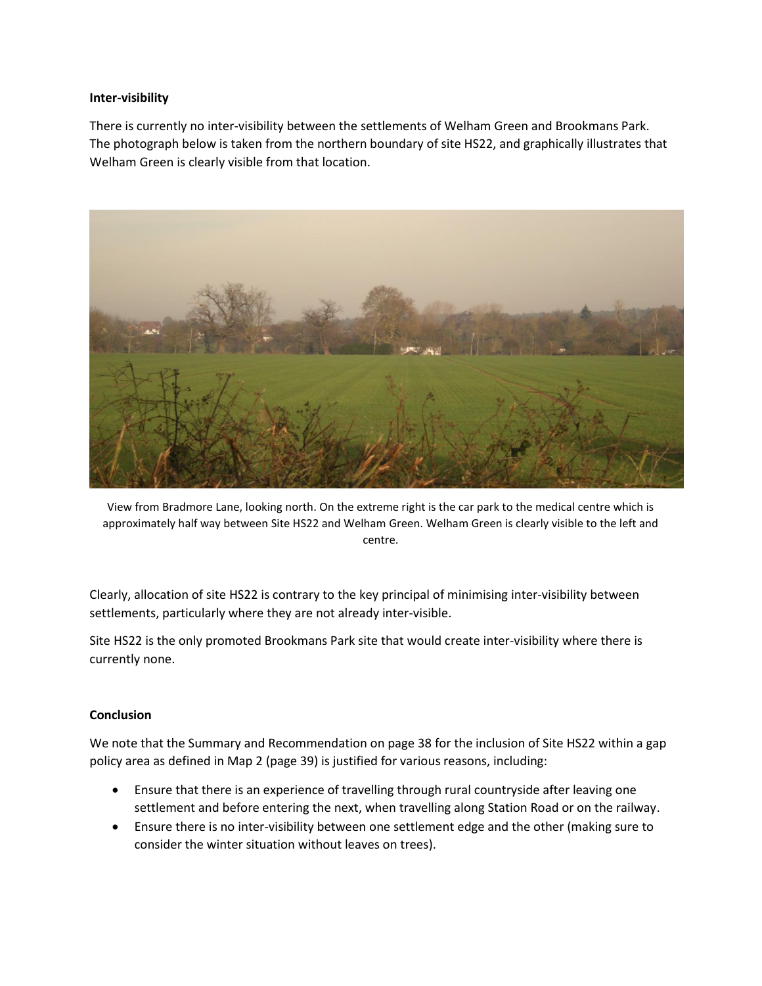### **Inter-visibility**

There is currently no inter-visibility between the settlements of Welham Green and Brookmans Park. The photograph below is taken from the northern boundary of site HS22, and graphically illustrates that Welham Green is clearly visible from that location.



View from Bradmore Lane, looking north. On the extreme right is the car park to the medical centre which is approximately half way between Site HS22 and Welham Green. Welham Green is clearly visible to the left and centre.

Clearly, allocation of site HS22 is contrary to the key principal of minimising inter-visibility between settlements, particularly where they are not already inter-visible.

Site HS22 is the only promoted Brookmans Park site that would create inter-visibility where there is currently none.

### **Conclusion**

We note that the Summary and Recommendation on page 38 for the inclusion of Site HS22 within a gap policy area as defined in Map 2 (page 39) is justified for various reasons, including:

- Ensure that there is an experience of travelling through rural countryside after leaving one settlement and before entering the next, when travelling along Station Road or on the railway.
- Ensure there is no inter-visibility between one settlement edge and the other (making sure to consider the winter situation without leaves on trees).